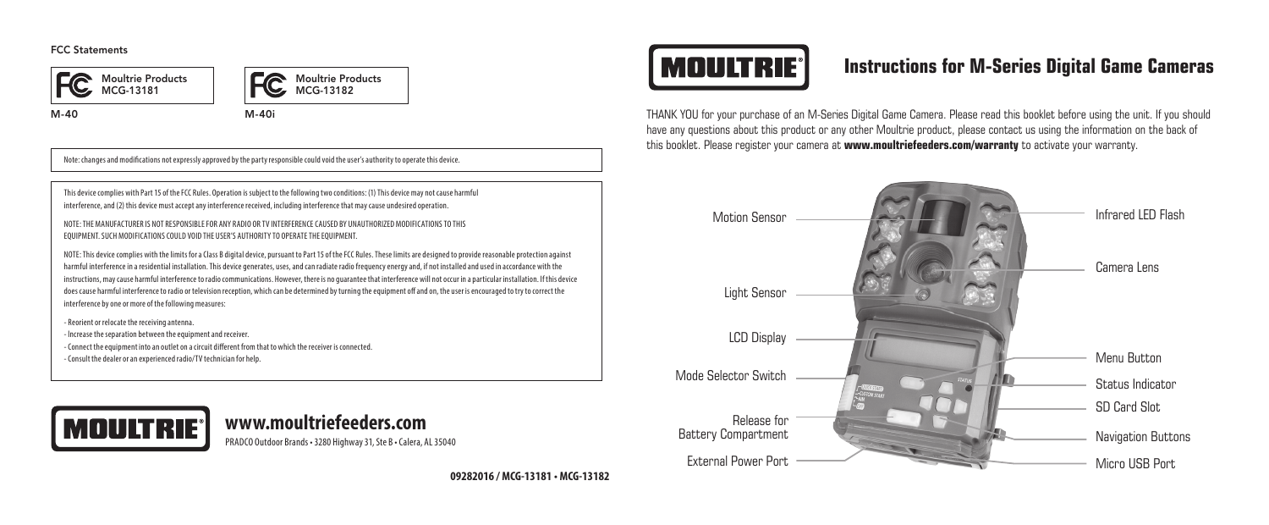#### FCC Statements





M-40 M-40i

Note: changes and modifications not expressly approved by the party responsible could void the user's authority to operate this device.

This device complies with Part 15 of the FCC Rules. Operation is subject to the following two conditions: (1) This device may not cause harmful interference, and (2) this device must accept any interference received, including interference that may cause undesired operation.

NOTE: THE MANUFACTURER IS NOT RESPONSIBLE FOR ANY RADIO OR TV INTERFERENCE CAUSED BY UNAUTHORIZED MODIFICATIONS TO THIS EQUIPMENT. SUCH MODIFICATIONS COULD VOID THE USER'S AUTHORITY TO OPERATE THE EQUIPMENT.

NOTE: This device complies with the limits for a Class B digital device, pursuant to Part 15 of the FCC Rules. These limits are designed to provide reasonable protection against harmful interference in a residential installation. This device generates, uses, and can radiate radio frequency energy and, if not installed and used in accordance with the instructions, may cause harmful interference to radio communications. However, there is no guarantee that interference will not occur in a particular installation. If this device does cause harmful interference to radio or television reception, which can be determined by turning the equipment off and on, the user is encouraged to try to correct the interference by one or more of the following measures:

- Reorient or relocate the receiving antenna.

- lncrease the separation between the equipment and receiver.

- Connect the equipment into an outlet on a circuit different from that to which the receiver is connected.
- Consult the dealer or an experienced radio/TV technician for help.



### PRADCO Outdoor Brands • 3280 Highway 31, Ste B • Calera, AL 35040

**09282016 / MCG-13181 • MCG-13182**

# **MOULTRIE®**

### **Instructions for M-Series Digital Game Cameras**

THANK YOU for your purchase of an M-Series Digital Game Camera. Please read this booklet before using the unit. If you should have any questions about this product or any other Moultrie product, please contact us using the information on the back of this booklet. Please register your camera at **www.moultriefeeders.com/warranty** to activate your warranty.

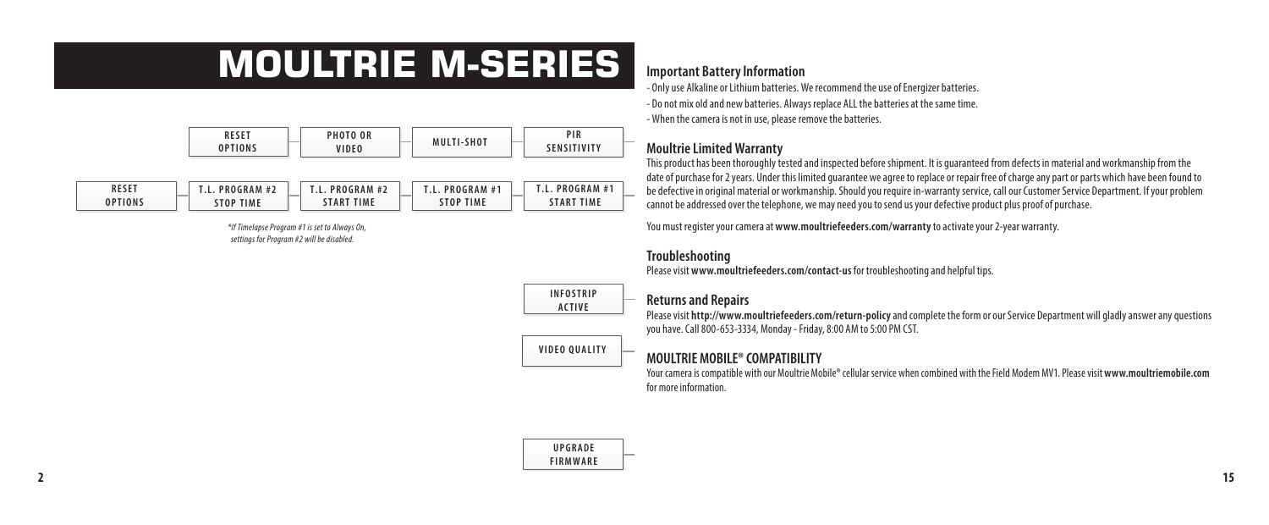# **MOULTRIE M-SERIES**



| RESET   | PROGRAM<br>#2 | PROGRAM<br>. L      | PROGRAM #*       | PROGRAM #1    |
|---------|---------------|---------------------|------------------|---------------|
| DPTIONS | <b>TIME</b>   | <b>TIME</b><br>TART | <b>STOP TIME</b> | "IME<br>T A R |

*\*If Timelapse Program #1 is set to Always On, settings for Program #2 will be disabled.*

#### **Important Battery lnformation**

- Only use Alkaline or Lithium batteries. We recommend the use of Energizer batteries. - Do not mix old and new batteries. Always replace ALL the batteries at the same time. - When the camera is not in use, please remove the batteries.

#### **Moultrie Limited Warranty**

This product has been thoroughly tested and inspected before shipment. It is guaranteed from defects in material and workmanship from the date of purchase for 2 years. Under this limited guarantee we agree to replace or repair free of charge any part or parts which have been found to be defective in original material or workmanship. Should you require in-warranty service, call our Customer Service Department. If your problem cannot be addressed over the telephone, we may need you to send us your defective product plus proof of purchase.

You must register your camera at **www.moultriefeeders.com/warranty** to activate your 2-year warranty.

### **Troubleshooting** *\*Set options in the respective menus.*

Please visit **www.moultriefeeders.com/contact-us** for troubleshooting and helpful tips.

#### **INFOSTRIP ACTIVE**

#### **Returns and Repairs (ºF OR ºC)**

**neturns and nepairs**<br>Please visit **http://www.moultriefeeders.com/return-policy** and complete the form or our Service Department will gladly answer any questions you have. Call 800-653-3334, Monday - Friday, 8:00 AM to 5:00 PM CST.

### **MOULTRIE MOBILE® COMPATIBILITY VIDEO QUALITY**

Your camera is compatible with our Moultrie Mobile® cellular service when combined with the Field Modem MV1. Please visit **www.moultriemobile.com** for more information.

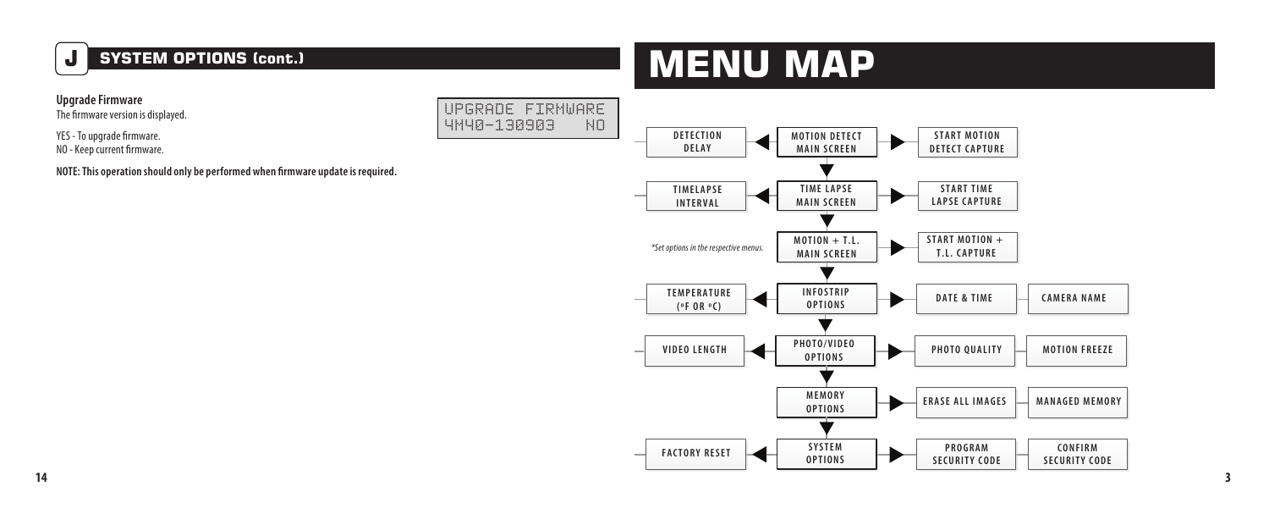### **J SYSTEM OPTIONS (cont.)**

# **MENU MAP**

**Upgrade Firmware** 

The firmware version is displayed.

YES - To upgrade firmware. NO - Keep current firmware.

**NOTE: This operation should only be performed when firmware update is required.**

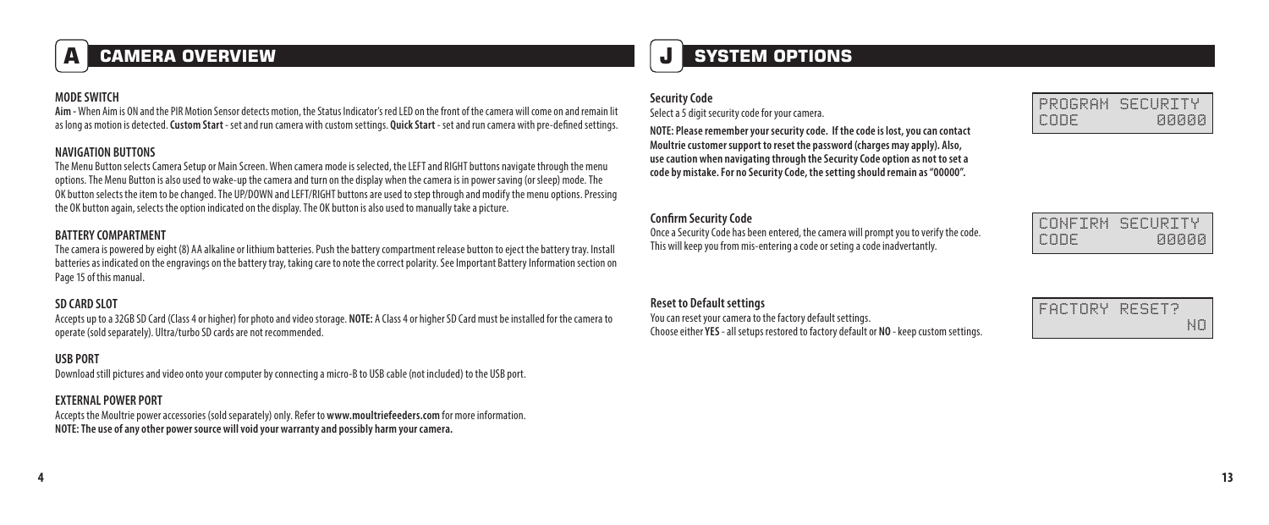### **A CAMERA OVERVIEW**

#### **MODE SWITCH**

**Aim -** When Aim is ON and the PIR Motion Sensor detects motion, the Status Indicator's red LED on the front of the camera will come on and remain lit as long as motion is detected. **Custom Start** - set and run camera with custom settings. **Quick Start** - set and run camera with pre-defined settings.

#### **NAVIGATION BUTTONS**

The Menu Button selects Camera Setup or Main Screen. When camera mode is selected, the LEFT and RIGHT buttons navigate through the menu options. The Menu Button is also used to wake-up the camera and turn on the display when the camera is in power saving (or sleep) mode.The OK button selects the item to be changed. The UP/DOWN and LEFT/RIGHT buttons are used to step through and modify the menu options. Pressing the OK button again, selects the option indicated on the display. The OK button is also used to manually take a picture.

#### **BATTERY COMPARTMENT**

The camera is powered by eight (8) AA alkaline or lithium batteries. Push the battery compartment release button to eject the battery tray. Install batteries as indicated on the engravings on the battery tray, taking care to note the correct polarity.See Important Battery Information section on Page 15 of this manual.

#### **SD CARD SLOT**

Accepts up to a 32GB SD Card (Class 4 or higher) for photo and video storage. **NOTE:** A Class 4 or higher SD Card must be installed for the camera to operate (sold separately). Ultra/turbo SD cards are not recommended.

#### **USB PORT**

Download still pictures and video onto your computer by connecting a micro-B to USB cable (not included) to the USB port.

#### **EXTERNAL POWER PORT**

Accepts the Moultrie power accessories (sold separately) only. Refer to **www.moultriefeeders.com** for more information. **NOTE: The use of any other power source will void your warranty and possibly harm your camera.**

### **J SYSTEM OPTIONS**

#### **Security Code**

Select a 5 digit security code for your camera.

**NOTE: Please remember your security code. If the code is lost, you can contact Moultrie customer support to reset the password (charges may apply). Also, use caution when navigating through the Security Code option as not to set a code by mistake. For no Security Code, the setting should remain as "00000".**

#### **Confirm Security Code**

Once a Security Code has been entered, the camera will prompt you to verify the code. This will keep you from mis-entering a code or seting a code inadvertantly.

#### **Reset to Default settings**

You can reset your camera to the factory default settings. Choose either **YES** - all setups restored to factory default or **NO** - keep custom settings.

|      | PROGRAM SECURITY |
|------|------------------|
| CODE | яяяяя            |

| TRM.<br>TINE | SECURITY |
|--------------|----------|
| 11<br>FI III |          |

| FACTORY | RESET? |    |
|---------|--------|----|
|         |        | NH |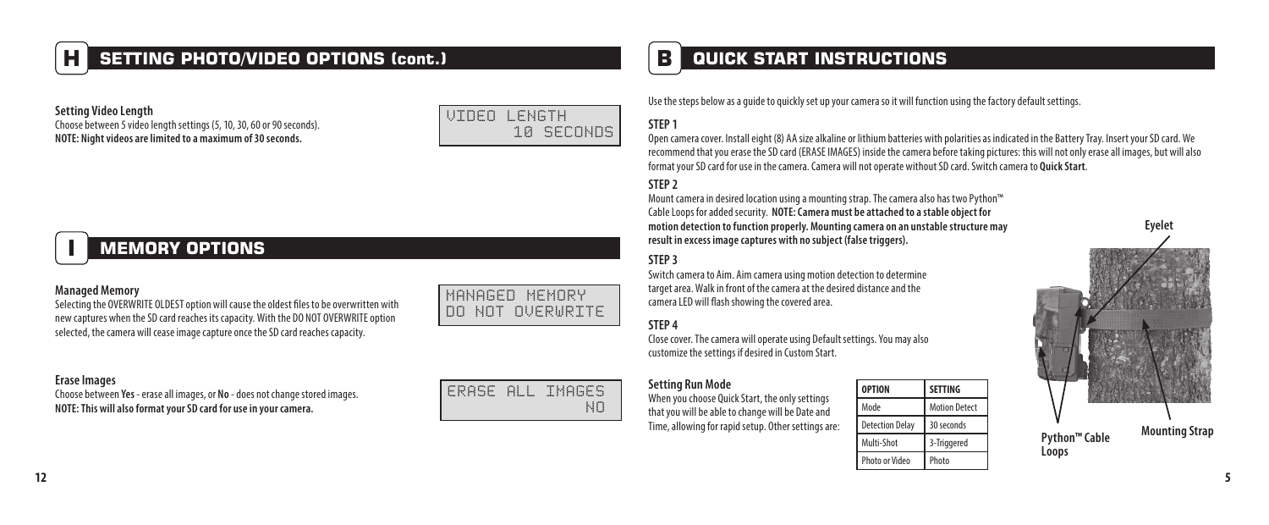### **H SETTING PHOTO/VIDEO OPTIONS (cont.)**

**Setting Video Length** Choose between 5 video length settings (5, 10, 30, 60 or 90 seconds). **NOTE: Night videos are limited to a maximum of 30 seconds.**

### VIDEO LENGTH 10 SECONDS

## **I MEMORY OPTIONS**

#### **Managed Memory**

Selecting the OVERWRITE OLDEST option will cause the oldest files to be overwritten with new captures when the SD card reaches its capacity. With the DO NOT OVERWRITE option selected, the camera will cease image capture once the SD card reaches capacity.

#### **Erase Images**

Choose between **Yes** - erase all images, or **No** - does not change stored images. **NOTE: This will also format your SD card for use in your camera.**

| NANHAEU MENURY<br>DO NOT OVERWRITE <mark> </mark> |
|---------------------------------------------------|
|                                                   |

### ERASE ALL IMAGES NO

### **B QUICK START INSTRUCTIONS**

Use the steps below as a guide to quickly set up your camera so it will function using the factory default settings.

### **STEP 1**

Open camera cover. Install eight (8) AA size alkaline or lithium batteries with polarities as indicated in the Battery Tray. Insert your SD card. We recommend that you erase the SD card (ERASE IMAGES) inside the camera before taking pictures: this will not only erase all images, but will also format your SD card for use in the camera. Camera will not operate without SD card. Switch camera to **Quick Start**.

#### **STEP 2**

Mount camera in desired location using a mounting strap. The camera also has two Python™ Cable Loops for added security. **NOTE: Camera must be attached to a stable object for motion detection to function properly. Mounting camera on an unstable structure may result in excess image captures with no subject (false triggers).**

#### **STEP 3**

Switch camera to Aim. Aim camera using motion detection to determine target area. Walk in front of the camera at the desired distance and the camera LED will flash showing the covered area.

#### **STEP 4**

Close cover. The camera will operate using Default settings. You may also customize the settings if desired in Custom Start.

#### **Setting Run Mode**

When you choose Ouick Start, the only settings that you will be able to change will be Date and Time, allowing for rapid setup. Other settings are:

| <b>OPTION</b>          | <b>SETTING</b>       |
|------------------------|----------------------|
| Mode                   | <b>Motion Detect</b> |
| <b>Detection Delay</b> | 30 seconds           |
| Multi-Shot             | 3-Triggered          |
| <b>Photo or Video</b>  | Photo                |

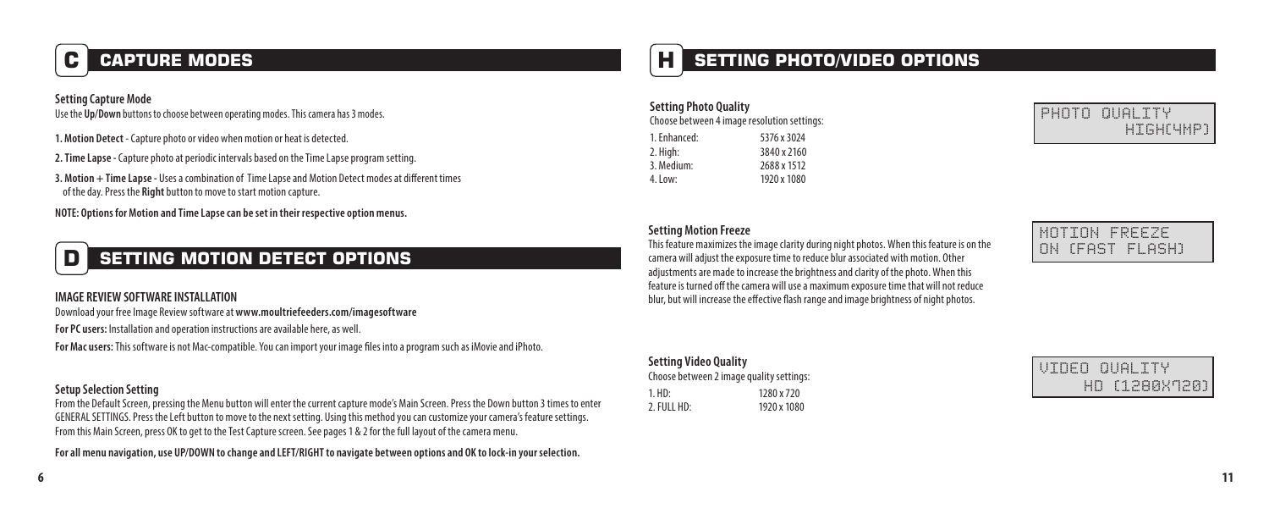## **C CAPTURE MODES**

#### **Setting Capture Mode**

Use the **Up/Down** buttons to choose between operating modes. This camera has 3 modes.

- **1. Motion Detect**  Capture photo or video when motion or heat is detected.
- **2. Time Lapse -** Capture photo at periodic intervals based on the Time Lapse program setting.
- **3. Motion + Time Lapse -** Uses a combination of Time Lapse and Motion Detect modes at different times of the day. Press the **Right** button to move to start motion capture.

**NOTE: Options for Motion and Time Lapse can be set in their respective option menus.**

## **D SETTING MOTION DETECT OPTIONS**

#### **IMAGE REVIEW SOFTWARE INSTALLATION**

Download your free Image Review software at **www.moultriefeeders.com/imagesoftware**

**For PC users:** Installation and operation instructions are available here, as well.

**For Mac users:** This software is not Mac-compatible. You can import your image files into a program such as iMovie and iPhoto.

#### **Setup Selection Setting**

From the Default Screen, pressing the Menu button will enter the current capture mode's Main Screen. Press the Down button 3 times to enter GENERAL SETTINGS. Press the Left button to move to the next setting. Using this method you can customize your camera's feature settings. From this Main Screen, press OK to get to the Test Capture screen. See pages 1 & 2 for the full layout of the camera menu.

**For all menu navigation, use UP/DOWN to change and LEFT/RIGHT to navigate between options and OK to lock-in your selection.**

### **H SETTING PHOTO/VIDEO OPTIONS**

| <b>Setting Photo Quality</b>                |             |  |  |  |  |  |
|---------------------------------------------|-------------|--|--|--|--|--|
| Choose between 4 image resolution settings: |             |  |  |  |  |  |
| 1. Enhanced:                                | 5376 x 3024 |  |  |  |  |  |
| 2. High:                                    | 3840 x 2160 |  |  |  |  |  |
| 3. Medium:                                  | 2688 x 1512 |  |  |  |  |  |
| $4.1$ nw:                                   | 1920 x 1080 |  |  |  |  |  |



#### **Setting Motion Freeze**

This feature maximizes the image clarity during night photos. When this feature is on the camera will adjust the exposure time to reduce blur associated with motion. Other adjustments are made to increase the brightness and clarity of the photo. When this feature is turned off the camera will use a maximum exposure time that will not reduce blur, but will increase the effective flash range and image brightness of night photos.

#### **Setting Video Quality**

| Choose between 2 image quality settings: |             |  |  |  |  |
|------------------------------------------|-------------|--|--|--|--|
| $1. HD$ :                                | 1280 x 720  |  |  |  |  |
| 2. FULL HD:                              | 1920 x 1080 |  |  |  |  |

|  | MOTION FREEZE   |
|--|-----------------|
|  | ON (FAST FLASH) |

| UINEN NUALITY |               |  |  |  |  |  |
|---------------|---------------|--|--|--|--|--|
|               | НП [1280Х720] |  |  |  |  |  |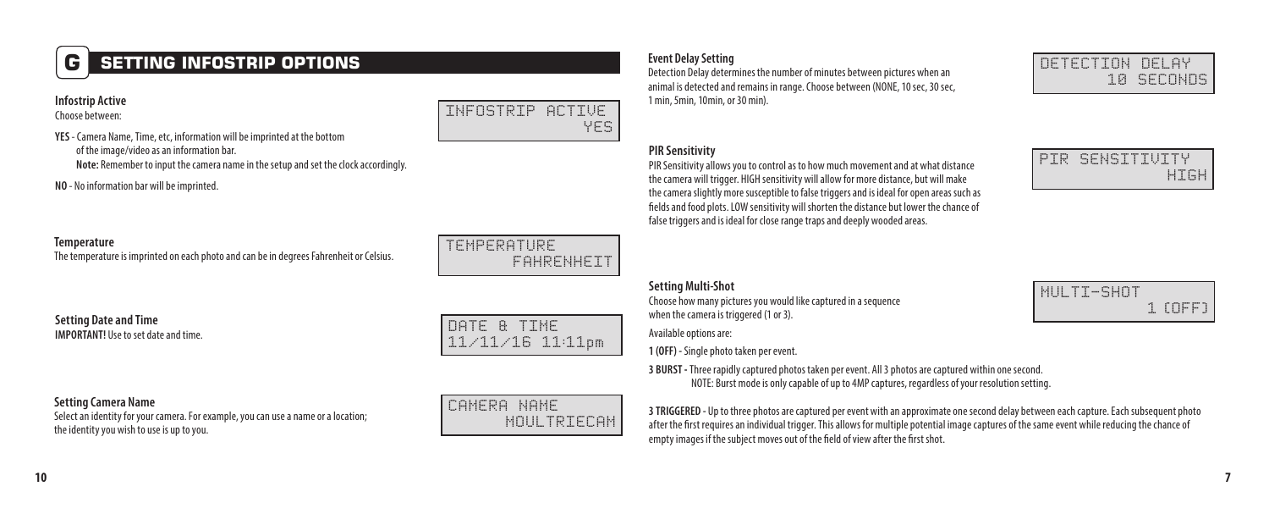### **G SETTING INFOSTRIP OPTIONS**

#### **Infostrip Active**

Choose between:

**YES** - Camera Name, Time, etc, information will be imprinted at the bottom of the image/video as an information bar.

**Note:** Remember to input the camera name in the setup and set the clock accordingly.

**NO** - No information bar will be imprinted.

#### **Temperature**

The temperature is imprinted on each photo and can be in degrees Fahrenheit or Celsius.

**Setting Date and Time IMPORTANT!** INe to set date and time.<br>**IMPORTANT!** INe to set date and time.

FAHRENHEIT

INFOSTRIP ACTIVE

YES

11/11/16 11:11pm

#### **Setting Camera Name**

Select an identity for your camera. For example, you can use a name or a location; the identity you wish to use is up to you.

### CAMERA NAME MOUL TRIFFCAM

Detection Delay determines the number of minutes between pictures when an animal is detected and remains in range. Choose between (NONE, 10 sec, 30 sec, 1 min, 5min, 10min, or 30 min).

#### **PIR Sensitivity**

PIR Sensitivity allows you to control as to how much movement and at what distance the camera will trigger. HIGH sensitivity will allow for more distance, but will make the camera slightly more susceptible to false triggers and is ideal for open areas such as fields and food plots. LOW sensitivity will shorten the distance but lower the chance of false triggers and is ideal for close range traps and deeply wooded areas.

#### **Setting Multi-Shot**

Choose how many pictures you would like captured in a sequence when the camera is triggered (1 or 3).

Available options are:

**1 (OFF) -** Single photo taken per event.

**3 BURST -** Three rapidly captured photos taken per event. All 3 photos are captured within one second. NOTE: Burst mode is only capable of up to 4MP captures, regardless of your resolution setting.

**3 TRIGGERED -** Up to three photos are captured per event with an approximate one second delay between each capture. Each subsequent photo after the first requires an individual trigger. This allows for multiple potential image captures of the same event while reducing the chance of empty images if the subject moves out of the field of view after the first shot.

TEMPERATURE



DETECTION DELAY

10 SECONDS